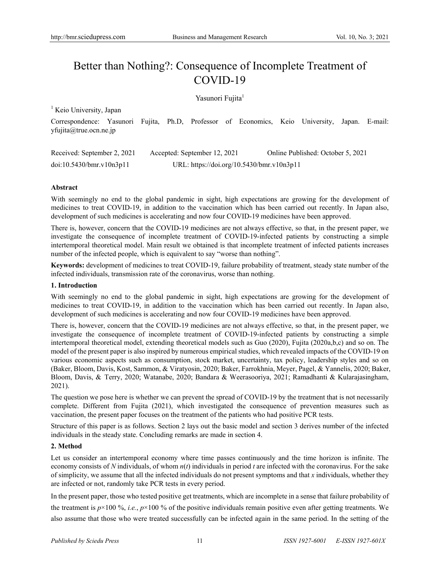# Better than Nothing?: Consequence of Incomplete Treatment of COVID-19

Yasunori Fujita<sup>1</sup>

 $<sup>1</sup>$  Keio University, Japan</sup>

Correspondence: Yasunori Fujita, Ph.D, Professor of Economics, Keio University, Japan. E-mail: yfujita@true.ocn.ne.jp

| Received: September 2, 2021 | Accepted: September 12, 2021              | Online Published: October 5, 2021 |
|-----------------------------|-------------------------------------------|-----------------------------------|
| doi:10.5430/bmr.v10n3p11    | URL: https://doi.org/10.5430/bmr.v10n3p11 |                                   |

# **Abstract**

With seemingly no end to the global pandemic in sight, high expectations are growing for the development of medicines to treat COVID-19, in addition to the vaccination which has been carried out recently. In Japan also, development of such medicines is accelerating and now four COVID-19 medicines have been approved.

There is, however, concern that the COVID-19 medicines are not always effective, so that, in the present paper, we investigate the consequence of incomplete treatment of COVID-19-infected patients by constructing a simple intertemporal theoretical model. Main result we obtained is that incomplete treatment of infected patients increases number of the infected people, which is equivalent to say "worse than nothing".

**Keywords:** development of medicines to treat COVID-19, failure probability of treatment, steady state number of the infected individuals, transmission rate of the coronavirus, worse than nothing.

## **1. Introduction**

With seemingly no end to the global pandemic in sight, high expectations are growing for the development of medicines to treat COVID-19, in addition to the vaccination which has been carried out recently. In Japan also, development of such medicines is accelerating and now four COVID-19 medicines have been approved.

There is, however, concern that the COVID-19 medicines are not always effective, so that, in the present paper, we investigate the consequence of incomplete treatment of COVID-19-infected patients by constructing a simple intertemporal theoretical model, extending theoretical models such as Guo (2020), Fujita (2020a,b,c) and so on. The model of the present paper is also inspired by numerous empirical studies, which revealed impacts of the COVID-19 on various economic aspects such as consumption, stock market, uncertainty, tax policy, leadership styles and so on (Baker, Bloom, Davis, Kost, Sammon, & Viratyosin, 2020; Baker, Farrokhnia, Meyer, Pagel, & Yannelis, 2020; Baker, Bloom, Davis, & Terry, 2020; Watanabe, 2020; Bandara & Weerasooriya, 2021; Ramadhanti & Kularajasingham, 2021).

The question we pose here is whether we can prevent the spread of COVID-19 by the treatment that is not necessarily complete. Different from Fujita (2021), which investigated the consequence of prevention measures such as vaccination, the present paper focuses on the treatment of the patients who had positive PCR tests.

Structure of this paper is as follows. Section 2 lays out the basic model and section 3 derives number of the infected individuals in the steady state. Concluding remarks are made in section 4.

## **2. Method**

Let us consider an intertemporal economy where time passes continuously and the time horizon is infinite. The economy consists of *N* individuals, of whom *n*(*t*) individuals in period *t* are infected with the coronavirus. For the sake of simplicity, we assume that all the infected individuals do not present symptoms and that *x* individuals, whether they are infected or not, randomly take PCR tests in every period.

In the present paper, those who tested positive get treatments, which are incomplete in a sense that failure probability of the treatment is  $p \times 100 \%$ , *i.e.*,  $p \times 100 \%$  of the positive individuals remain positive even after getting treatments. We also assume that those who were treated successfully can be infected again in the same period. In the setting of the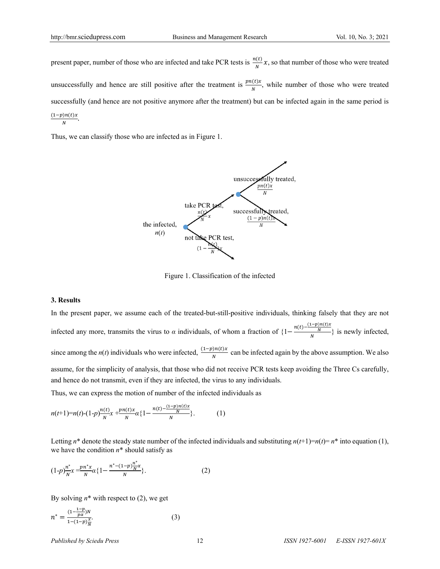present paper, number of those who are infected and take PCR tests is  $\frac{n(t)}{N}x$ , so that number of those who were treated unsuccessfully and hence are still positive after the treatment is  $\frac{pn(t)x}{N}$ , while number of those who were treated successfully (and hence are not positive anymore after the treatment) but can be infected again in the same period is  $\frac{(1-p)n(t)x}{N}$ .

Thus, we can classify those who are infected as in Figure 1.



Figure 1. Classification of the infected

#### **3. Results**

In the present paper, we assume each of the treated-but-still-positive individuals, thinking falsely that they are not infected any more, transmits the virus to *α* individuals, of whom a fraction of  $\left\{1 - \frac{n(t) - \frac{(1-p)n(t)x}{N}}{N}\right\}$  is newly infected, since among the *n*(*t*) individuals who were infected,  $\frac{(1-p)n(t)x}{N}$  can be infected again by the above assumption. We also assume, for the simplicity of analysis, that those who did not receive PCR tests keep avoiding the Three Cs carefully, and hence do not transmit, even if they are infected, the virus to any individuals.

Thus, we can express the motion of number of the infected individuals as

$$
n(t+1)=n(t)-(1-p)\frac{n(t)}{N}x+\frac{pn(t)x}{N}\alpha\{1-\frac{n(t)-\frac{(1-p)n(t)x}{N}\}}{n}.
$$
 (1)

Letting  $n^*$  denote the steady state number of the infected individuals and substituting  $n(t+1)=n(t)=n^*$  into equation (1), we have the condition *n*\* should satisfy as

$$
(1-p)\frac{n^*}{N}x = \frac{pn^*x}{N}\alpha\{1 - \frac{n^* - (1-p)\frac{n^*}{N}x}{N}\}.
$$
 (2)

By solving  $n^*$  with respect to (2), we get

$$
n^* = \frac{(1 - \frac{1 - p}{p\alpha})N}{1 - (1 - p)\frac{x}{N}}.
$$
 (3)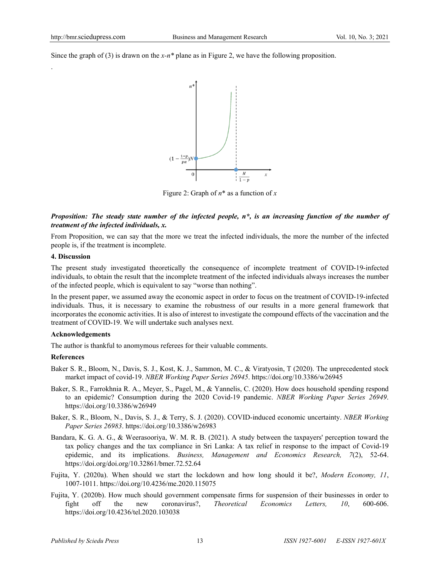.

Since the graph of (3) is drawn on the *x-n\** plane as in Figure 2, we have the following proposition.



Figure 2: Graph of *n*\* as a function of *x*

## *Proposition: The steady state number of the infected people, n\*, is an increasing function of the number of treatment of the infected individuals, x.*

From Proposition, we can say that the more we treat the infected individuals, the more the number of the infected people is, if the treatment is incomplete.

#### **4. Discussion**

The present study investigated theoretically the consequence of incomplete treatment of COVID-19-infected individuals, to obtain the result that the incomplete treatment of the infected individuals always increases the number of the infected people, which is equivalent to say "worse than nothing".

In the present paper, we assumed away the economic aspect in order to focus on the treatment of COVID-19-infected individuals. Thus, it is necessary to examine the robustness of our results in a more general framework that incorporates the economic activities. It is also of interest to investigate the compound effects of the vaccination and the treatment of COVID-19. We will undertake such analyses next.

## **Acknowledgements**

The author is thankful to anomymous referees for their valuable comments.

## **References**

- Baker S. R., Bloom, N., Davis, S. J., Kost, K. J., Sammon, M. C., & Viratyosin, T (2020). The unprecedented stock market impact of covid-19. *NBER Working Paper Series 26945*. https://doi.org/10.3386/w26945
- Baker, S. R., Farrokhnia R. A., Meyer, S., Pagel, M., & Yannelis, C. (2020). How does household spending respond to an epidemic? Consumption during the 2020 Covid-19 pandemic. *NBER Working Paper Series 26949*. https://doi.org/10.3386/w26949
- Baker, S. R., Bloom, N., Davis, S. J., & Terry, S. J. (2020). COVID-induced economic uncertainty. *NBER Working Paper Series 26983*. https://doi.org/10.3386/w26983
- Bandara, K. G. A. G., & Weerasooriya, W. M. R. B. (2021). A study between the taxpayers' perception toward the tax policy changes and the tax compliance in Sri Lanka: A tax relief in response to the impact of Covid-19 epidemic, and its implications. *Business, Management and Economics Research, 7*(2), 52-64. https://doi.org/doi.org/10.32861/bmer.72.52.64
- Fujita, Y. (2020a). When should we start the lockdown and how long should it be?, *Modern Economy, 11*, 1007-1011. https://doi.org/10.4236/me.2020.115075
- Fujita, Y. (2020b). How much should government compensate firms for suspension of their businesses in order to fight off the new coronavirus?, *Theoretical Economics Letters, 10*, 600-606. https://doi.org/10.4236/tel.2020.103038